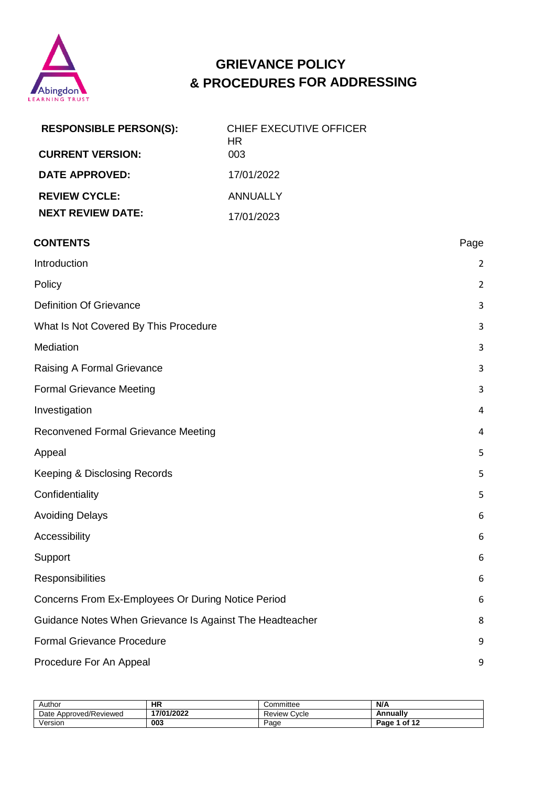

# **GRIEVANCE POLICY & PROCEDURES FOR ADDRESSING**

| <b>RESPONSIBLE PERSON(S):</b>                            | <b>CHIEF EXECUTIVE OFFICER</b><br><b>HR</b> |                |
|----------------------------------------------------------|---------------------------------------------|----------------|
| <b>CURRENT VERSION:</b>                                  | 003                                         |                |
| <b>DATE APPROVED:</b>                                    | 17/01/2022                                  |                |
| <b>REVIEW CYCLE:</b>                                     | <b>ANNUALLY</b>                             |                |
| <b>NEXT REVIEW DATE:</b>                                 | 17/01/2023                                  |                |
| <b>CONTENTS</b>                                          |                                             | Page           |
| Introduction                                             |                                             | 2              |
| Policy                                                   |                                             | $\overline{2}$ |
| <b>Definition Of Grievance</b>                           |                                             | 3              |
| What Is Not Covered By This Procedure                    |                                             | 3              |
| Mediation                                                |                                             | 3              |
| Raising A Formal Grievance                               |                                             | 3              |
| <b>Formal Grievance Meeting</b>                          |                                             | 3              |
| Investigation                                            |                                             | 4              |
| <b>Reconvened Formal Grievance Meeting</b>               |                                             | 4              |
| Appeal                                                   |                                             | 5              |
| Keeping & Disclosing Records                             |                                             | 5              |
| Confidentiality                                          |                                             | 5              |
| <b>Avoiding Delays</b>                                   |                                             | 6              |
| Accessibility                                            |                                             | 6              |
| Support                                                  |                                             | 6              |
| Responsibilities                                         |                                             | 6              |
| Concerns From Ex-Employees Or During Notice Period       |                                             | 6              |
| Guidance Notes When Grievance Is Against The Headteacher |                                             | 8              |
| <b>Formal Grievance Procedure</b>                        |                                             | 9              |
| Procedure For An Appeal                                  |                                             | 9              |

| Author                 | ΗR         | Committee       | N/A           |
|------------------------|------------|-----------------|---------------|
| Date Approved/Reviewed | 17/01/2022 | Cycle<br>Review | Annuallv      |
| Version                | 003        | Page            | of 12<br>Page |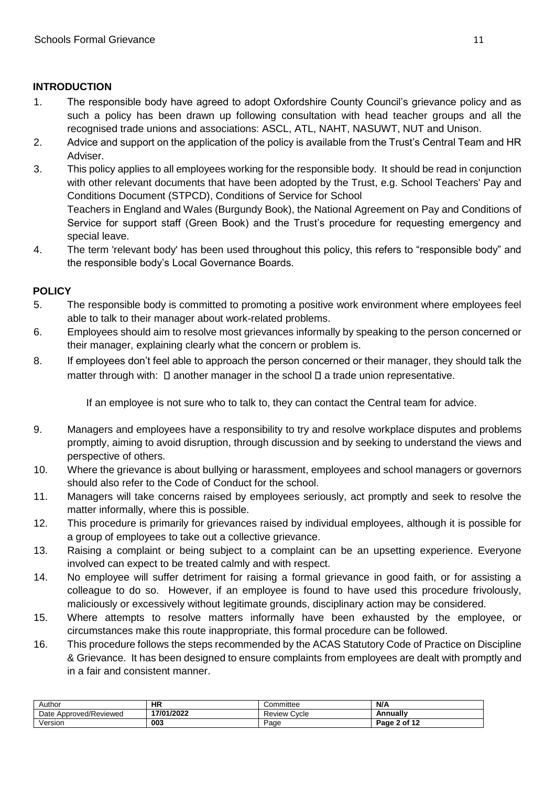# <span id="page-1-0"></span>**INTRODUCTION**

- 1. The responsible body have agreed to adopt Oxfordshire County Council's grievance policy and as such a policy has been drawn up following consultation with head teacher groups and all the recognised trade unions and associations: ASCL, ATL, NAHT, NASUWT, NUT and Unison.
- 2. Advice and support on the application of the policy is available from the Trust's Central Team and HR Adviser.
- 3. This policy applies to all employees working for the responsible body. It should be read in conjunction with other relevant documents that have been adopted by the Trust, e.g. School Teachers' Pay and Conditions Document (STPCD), Conditions of Service for School Teachers in England and Wales (Burgundy Book), the National Agreement on Pay and Conditions of Service for support staff (Green Book) and the Trust's procedure for requesting emergency and special leave.
- 4. The term 'relevant body' has been used throughout this policy, this refers to "responsible body" and the responsible body's Local Governance Boards.

# <span id="page-1-1"></span>**POLICY**

- 5. The responsible body is committed to promoting a positive work environment where employees feel able to talk to their manager about work-related problems.
- 6. Employees should aim to resolve most grievances informally by speaking to the person concerned or their manager, explaining clearly what the concern or problem is.
- 8. If employees don't feel able to approach the person concerned or their manager, they should talk the matter through with:  $\Box$  another manager in the school  $\Box$  a trade union representative.

If an employee is not sure who to talk to, they can contact the Central team for advice.

- 9. Managers and employees have a responsibility to try and resolve workplace disputes and problems promptly, aiming to avoid disruption, through discussion and by seeking to understand the views and perspective of others.
- 10. Where the grievance is about bullying or harassment, employees and school managers or governors should also refer to the Code of Conduct for the school.
- 11. Managers will take concerns raised by employees seriously, act promptly and seek to resolve the matter informally, where this is possible.
- 12. This procedure is primarily for grievances raised by individual employees, although it is possible for a group of employees to take out a collective grievance.
- 13. Raising a complaint or being subject to a complaint can be an upsetting experience. Everyone involved can expect to be treated calmly and with respect.
- 14. No employee will suffer detriment for raising a formal grievance in good faith, or for assisting a colleague to do so. However, if an employee is found to have used this procedure frivolously, maliciously or excessively without legitimate grounds, disciplinary action may be considered.
- 15. Where attempts to resolve matters informally have been exhausted by the employee, or circumstances make this route inappropriate, this formal procedure can be followed.
- 16. This procedure follows the steps recommended by the ACAS Statutory Code of Practice on Discipline & Grievance. It has been designed to ensure complaints from employees are dealt with promptly and in a fair and consistent manner.

| Author                 | ΗR         | :ommittee<br>w               | N/A          |
|------------------------|------------|------------------------------|--------------|
| Date Approved/Reviewed | 17/01/2022 | Cycle<br>Review <sup>*</sup> | Annually     |
| Version                | 003        | Page                         | Page 2 of 12 |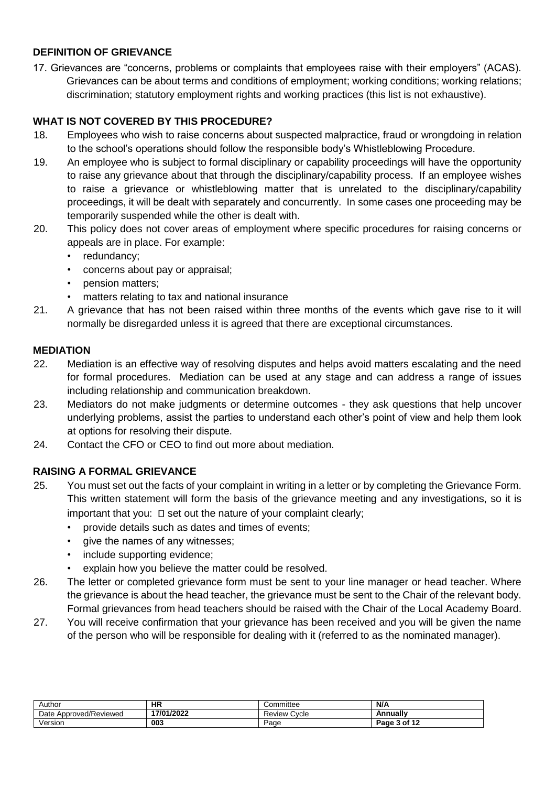## <span id="page-2-0"></span>**DEFINITION OF GRIEVANCE**

17. Grievances are "concerns, problems or complaints that employees raise with their employers" (ACAS). Grievances can be about terms and conditions of employment; working conditions; working relations; discrimination; statutory employment rights and working practices (this list is not exhaustive).

## <span id="page-2-1"></span>**WHAT IS NOT COVERED BY THIS PROCEDURE?**

- 18. Employees who wish to raise concerns about suspected malpractice, fraud or wrongdoing in relation to the school's operations should follow the responsible body's Whistleblowing Procedure.
- 19. An employee who is subject to formal disciplinary or capability proceedings will have the opportunity to raise any grievance about that through the disciplinary/capability process. If an employee wishes to raise a grievance or whistleblowing matter that is unrelated to the disciplinary/capability proceedings, it will be dealt with separately and concurrently. In some cases one proceeding may be temporarily suspended while the other is dealt with.
- 20. This policy does not cover areas of employment where specific procedures for raising concerns or appeals are in place. For example:
	- redundancy;
	- concerns about pay or appraisal;
	- pension matters;
	- matters relating to tax and national insurance
- 21. A grievance that has not been raised within three months of the events which gave rise to it will normally be disregarded unless it is agreed that there are exceptional circumstances.

## <span id="page-2-2"></span>**MEDIATION**

- 22. Mediation is an effective way of resolving disputes and helps avoid matters escalating and the need for formal procedures. Mediation can be used at any stage and can address a range of issues including relationship and communication breakdown.
- 23. Mediators do not make judgments or determine outcomes they ask questions that help uncover underlying problems, assist the parties to understand each other's point of view and help them look at options for resolving their dispute.
- 24. Contact the CFO or CEO to find out more about mediation.

## <span id="page-2-3"></span>**RAISING A FORMAL GRIEVANCE**

- 25. You must set out the facts of your complaint in writing in a letter or by completing the Grievance Form. This written statement will form the basis of the grievance meeting and any investigations, so it is important that you:  $\square$  set out the nature of your complaint clearly;
	- provide details such as dates and times of events;
	- give the names of any witnesses;
	- include supporting evidence;
	- explain how you believe the matter could be resolved.
- 26. The letter or completed grievance form must be sent to your line manager or head teacher. Where the grievance is about the head teacher, the grievance must be sent to the Chair of the relevant body. Formal grievances from head teachers should be raised with the Chair of the Local Academy Board.
- 27. You will receive confirmation that your grievance has been received and you will be given the name of the person who will be responsible for dealing with it (referred to as the nominated manager).

| Author                 | <b>HR</b>  | :ommittee         | N/A          |
|------------------------|------------|-------------------|--------------|
| Date Approved/Reviewed | 17/01/2022 | Cvcle<br>Review \ | Annually     |
| Version                | 003        | Page              | Page 3 of 12 |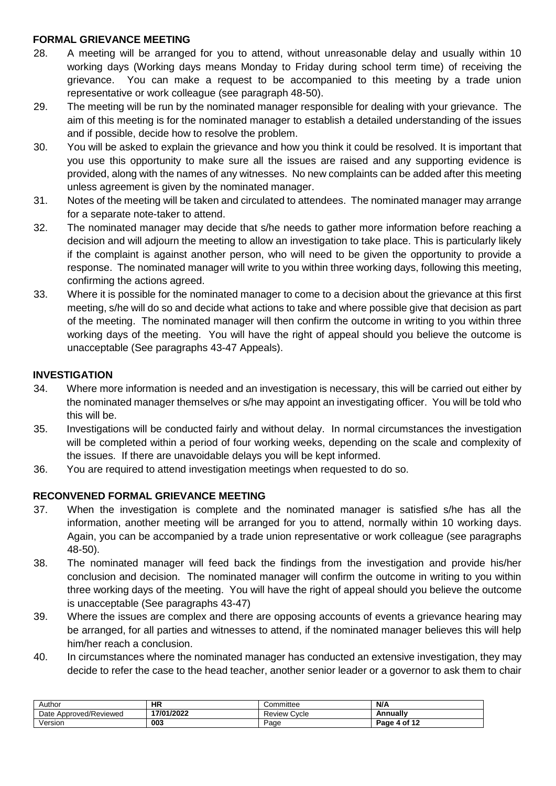#### <span id="page-3-0"></span>**FORMAL GRIEVANCE MEETING**

- 28. A meeting will be arranged for you to attend, without unreasonable delay and usually within 10 working days (Working days means Monday to Friday during school term time) of receiving the grievance. You can make a request to be accompanied to this meeting by a trade union representative or work colleague (see paragraph 48-50).
- 29. The meeting will be run by the nominated manager responsible for dealing with your grievance. The aim of this meeting is for the nominated manager to establish a detailed understanding of the issues and if possible, decide how to resolve the problem.
- 30. You will be asked to explain the grievance and how you think it could be resolved. It is important that you use this opportunity to make sure all the issues are raised and any supporting evidence is provided, along with the names of any witnesses. No new complaints can be added after this meeting unless agreement is given by the nominated manager.
- 31. Notes of the meeting will be taken and circulated to attendees. The nominated manager may arrange for a separate note-taker to attend.
- 32. The nominated manager may decide that s/he needs to gather more information before reaching a decision and will adjourn the meeting to allow an investigation to take place. This is particularly likely if the complaint is against another person, who will need to be given the opportunity to provide a response. The nominated manager will write to you within three working days, following this meeting, confirming the actions agreed.
- 33. Where it is possible for the nominated manager to come to a decision about the grievance at this first meeting, s/he will do so and decide what actions to take and where possible give that decision as part of the meeting. The nominated manager will then confirm the outcome in writing to you within three working days of the meeting. You will have the right of appeal should you believe the outcome is unacceptable (See paragraphs 43-47 Appeals).

## <span id="page-3-1"></span>**INVESTIGATION**

- 34. Where more information is needed and an investigation is necessary, this will be carried out either by the nominated manager themselves or s/he may appoint an investigating officer. You will be told who this will be.
- 35. Investigations will be conducted fairly and without delay. In normal circumstances the investigation will be completed within a period of four working weeks, depending on the scale and complexity of the issues. If there are unavoidable delays you will be kept informed.
- 36. You are required to attend investigation meetings when requested to do so.

#### <span id="page-3-2"></span>**RECONVENED FORMAL GRIEVANCE MEETING**

- 37. When the investigation is complete and the nominated manager is satisfied s/he has all the information, another meeting will be arranged for you to attend, normally within 10 working days. Again, you can be accompanied by a trade union representative or work colleague (see paragraphs 48-50).
- 38. The nominated manager will feed back the findings from the investigation and provide his/her conclusion and decision. The nominated manager will confirm the outcome in writing to you within three working days of the meeting. You will have the right of appeal should you believe the outcome is unacceptable (See paragraphs 43-47)
- 39. Where the issues are complex and there are opposing accounts of events a grievance hearing may be arranged, for all parties and witnesses to attend, if the nominated manager believes this will help him/her reach a conclusion.
- 40. In circumstances where the nominated manager has conducted an extensive investigation, they may decide to refer the case to the head teacher, another senior leader or a governor to ask them to chair

| Author                 | <b>HR</b>  | Committee       | N/A                    |
|------------------------|------------|-----------------|------------------------|
| Date Approved/Reviewed | 17/01/2022 | Cycle<br>Review | Annuallv               |
| Version                | 003        | Page            | e 4 of 10 -<br>$P$ age |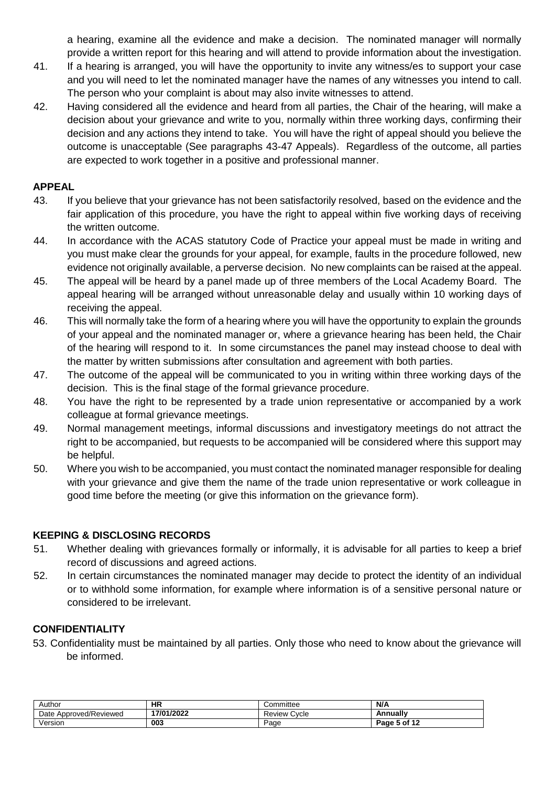a hearing, examine all the evidence and make a decision. The nominated manager will normally provide a written report for this hearing and will attend to provide information about the investigation.

- 41. If a hearing is arranged, you will have the opportunity to invite any witness/es to support your case and you will need to let the nominated manager have the names of any witnesses you intend to call. The person who your complaint is about may also invite witnesses to attend.
- 42. Having considered all the evidence and heard from all parties, the Chair of the hearing, will make a decision about your grievance and write to you, normally within three working days, confirming their decision and any actions they intend to take. You will have the right of appeal should you believe the outcome is unacceptable (See paragraphs 43-47 Appeals). Regardless of the outcome, all parties are expected to work together in a positive and professional manner.

#### <span id="page-4-0"></span>**APPEAL**

- 43. If you believe that your grievance has not been satisfactorily resolved, based on the evidence and the fair application of this procedure, you have the right to appeal within five working days of receiving the written outcome.
- 44. In accordance with the ACAS statutory Code of Practice your appeal must be made in writing and you must make clear the grounds for your appeal, for example, faults in the procedure followed, new evidence not originally available, a perverse decision. No new complaints can be raised at the appeal.
- 45. The appeal will be heard by a panel made up of three members of the Local Academy Board. The appeal hearing will be arranged without unreasonable delay and usually within 10 working days of receiving the appeal.
- 46. This will normally take the form of a hearing where you will have the opportunity to explain the grounds of your appeal and the nominated manager or, where a grievance hearing has been held, the Chair of the hearing will respond to it. In some circumstances the panel may instead choose to deal with the matter by written submissions after consultation and agreement with both parties.
- 47. The outcome of the appeal will be communicated to you in writing within three working days of the decision. This is the final stage of the formal grievance procedure.
- 48. You have the right to be represented by a trade union representative or accompanied by a work colleague at formal grievance meetings.
- 49. Normal management meetings, informal discussions and investigatory meetings do not attract the right to be accompanied, but requests to be accompanied will be considered where this support may be helpful.
- 50. Where you wish to be accompanied, you must contact the nominated manager responsible for dealing with your grievance and give them the name of the trade union representative or work colleague in good time before the meeting (or give this information on the grievance form).

#### <span id="page-4-1"></span>**KEEPING & DISCLOSING RECORDS**

- 51. Whether dealing with grievances formally or informally, it is advisable for all parties to keep a brief record of discussions and agreed actions.
- 52. In certain circumstances the nominated manager may decide to protect the identity of an individual or to withhold some information, for example where information is of a sensitive personal nature or considered to be irrelevant.

## <span id="page-4-2"></span>**CONFIDENTIALITY**

53. Confidentiality must be maintained by all parties. Only those who need to know about the grievance will be informed.

| Author                 | ΗR         | :ommittee<br>w               | N/A          |
|------------------------|------------|------------------------------|--------------|
| Date Approved/Reviewed | 17/01/2022 | Cycle<br>Review <sup>*</sup> | Annually     |
| Version                | 003        | Page                         | Page 5 of 12 |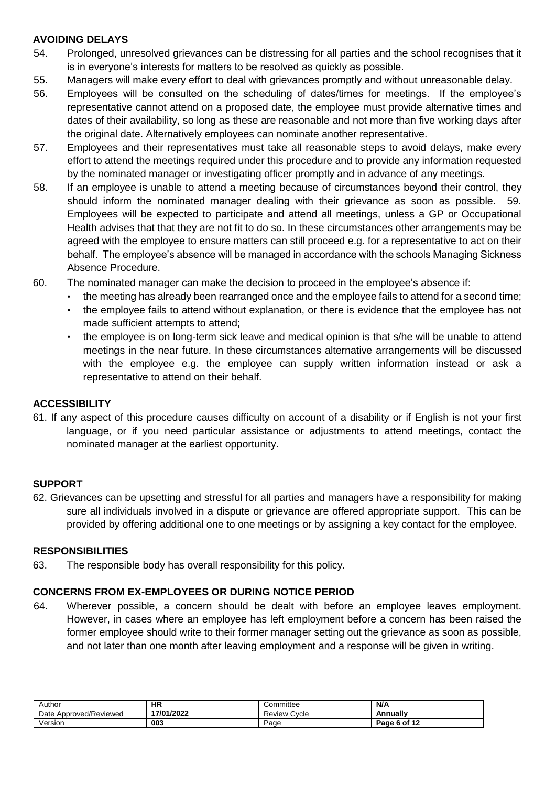## <span id="page-5-0"></span>**AVOIDING DELAYS**

- 54. Prolonged, unresolved grievances can be distressing for all parties and the school recognises that it is in everyone's interests for matters to be resolved as quickly as possible.
- 55. Managers will make every effort to deal with grievances promptly and without unreasonable delay.
- 56. Employees will be consulted on the scheduling of dates/times for meetings. If the employee's representative cannot attend on a proposed date, the employee must provide alternative times and dates of their availability, so long as these are reasonable and not more than five working days after the original date. Alternatively employees can nominate another representative.
- 57. Employees and their representatives must take all reasonable steps to avoid delays, make every effort to attend the meetings required under this procedure and to provide any information requested by the nominated manager or investigating officer promptly and in advance of any meetings.
- 58. If an employee is unable to attend a meeting because of circumstances beyond their control, they should inform the nominated manager dealing with their grievance as soon as possible. 59. Employees will be expected to participate and attend all meetings, unless a GP or Occupational Health advises that that they are not fit to do so. In these circumstances other arrangements may be agreed with the employee to ensure matters can still proceed e.g. for a representative to act on their behalf. The employee's absence will be managed in accordance with the schools Managing Sickness Absence Procedure.
- 60. The nominated manager can make the decision to proceed in the employee's absence if:
	- the meeting has already been rearranged once and the employee fails to attend for a second time;
	- the employee fails to attend without explanation, or there is evidence that the employee has not made sufficient attempts to attend;
	- the employee is on long-term sick leave and medical opinion is that s/he will be unable to attend meetings in the near future. In these circumstances alternative arrangements will be discussed with the employee e.g. the employee can supply written information instead or ask a representative to attend on their behalf.

## <span id="page-5-1"></span>**ACCESSIBILITY**

61. If any aspect of this procedure causes difficulty on account of a disability or if English is not your first language, or if you need particular assistance or adjustments to attend meetings, contact the nominated manager at the earliest opportunity.

#### <span id="page-5-2"></span>**SUPPORT**

62. Grievances can be upsetting and stressful for all parties and managers have a responsibility for making sure all individuals involved in a dispute or grievance are offered appropriate support. This can be provided by offering additional one to one meetings or by assigning a key contact for the employee.

#### <span id="page-5-3"></span>**RESPONSIBILITIES**

63. The responsible body has overall responsibility for this policy.

#### <span id="page-5-4"></span>**CONCERNS FROM EX-EMPLOYEES OR DURING NOTICE PERIOD**

64. Wherever possible, a concern should be dealt with before an employee leaves employment. However, in cases where an employee has left employment before a concern has been raised the former employee should write to their former manager setting out the grievance as soon as possible, and not later than one month after leaving employment and a response will be given in writing.

| Author                 | ΗR         | Committee            | N/A             |
|------------------------|------------|----------------------|-----------------|
| Date Approved/Reviewed | 17/01/2022 | –<br>Cvcle<br>Review | Annuallv        |
| Version                | 003        | Page                 | 6 of 12<br>Page |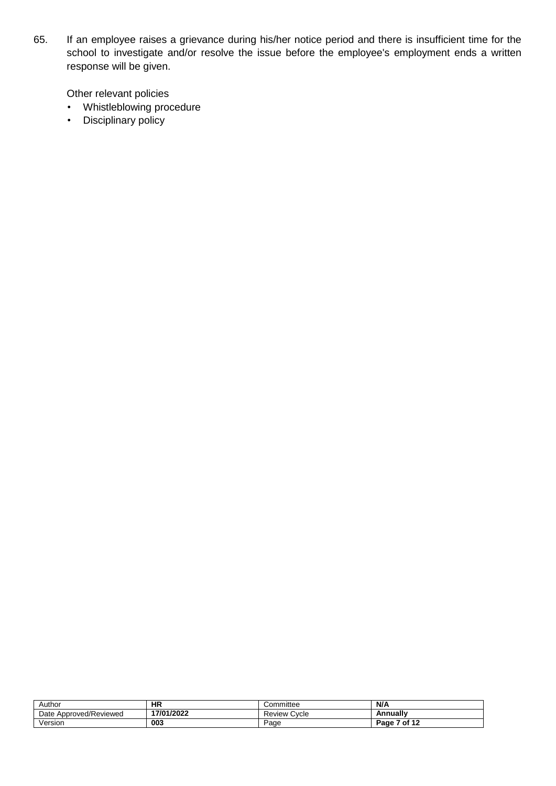65. If an employee raises a grievance during his/her notice period and there is insufficient time for the school to investigate and/or resolve the issue before the employee's employment ends a written response will be given.

Other relevant policies

- Whistleblowing procedure
- Disciplinary policy

| Author                 | НR         | Committee         | N/A             |
|------------------------|------------|-------------------|-----------------|
| Date Approved/Reviewed | 17/01/2022 | Cvcle<br>Review ' | Annually        |
| √ersion                | 003        | Page              | 7 of 12<br>Page |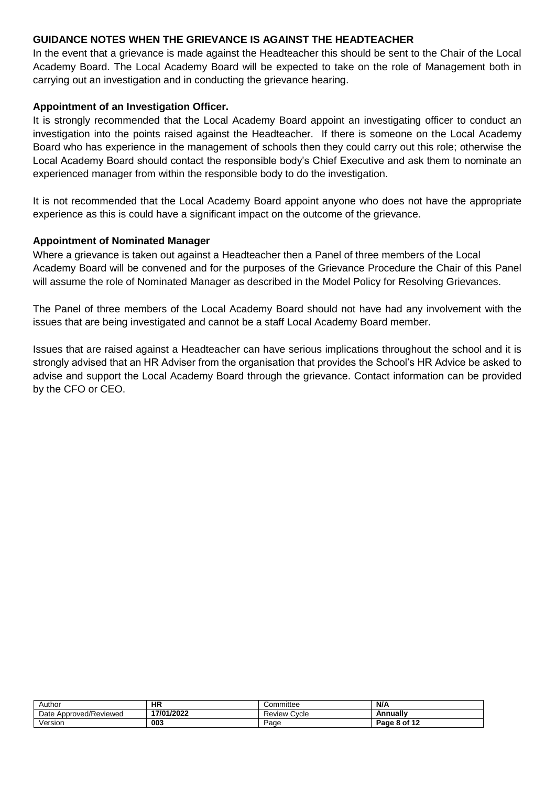#### <span id="page-7-0"></span>**GUIDANCE NOTES WHEN THE GRIEVANCE IS AGAINST THE HEADTEACHER**

In the event that a grievance is made against the Headteacher this should be sent to the Chair of the Local Academy Board. The Local Academy Board will be expected to take on the role of Management both in carrying out an investigation and in conducting the grievance hearing.

#### **Appointment of an Investigation Officer.**

It is strongly recommended that the Local Academy Board appoint an investigating officer to conduct an investigation into the points raised against the Headteacher. If there is someone on the Local Academy Board who has experience in the management of schools then they could carry out this role; otherwise the Local Academy Board should contact the responsible body's Chief Executive and ask them to nominate an experienced manager from within the responsible body to do the investigation.

It is not recommended that the Local Academy Board appoint anyone who does not have the appropriate experience as this is could have a significant impact on the outcome of the grievance.

#### **Appointment of Nominated Manager**

Where a grievance is taken out against a Headteacher then a Panel of three members of the Local Academy Board will be convened and for the purposes of the Grievance Procedure the Chair of this Panel will assume the role of Nominated Manager as described in the Model Policy for Resolving Grievances.

The Panel of three members of the Local Academy Board should not have had any involvement with the issues that are being investigated and cannot be a staff Local Academy Board member.

Issues that are raised against a Headteacher can have serious implications throughout the school and it is strongly advised that an HR Adviser from the organisation that provides the School's HR Advice be asked to advise and support the Local Academy Board through the grievance. Contact information can be provided by the CFO or CEO.

| Author                           | НR         | Committee       | N/A          |
|----------------------------------|------------|-----------------|--------------|
| <b>Approved/Reviewed</b><br>Date | 17/01/2022 | Cycle<br>Review | Annually     |
| /ersion                          | 003        | Page            | Page 8 of 12 |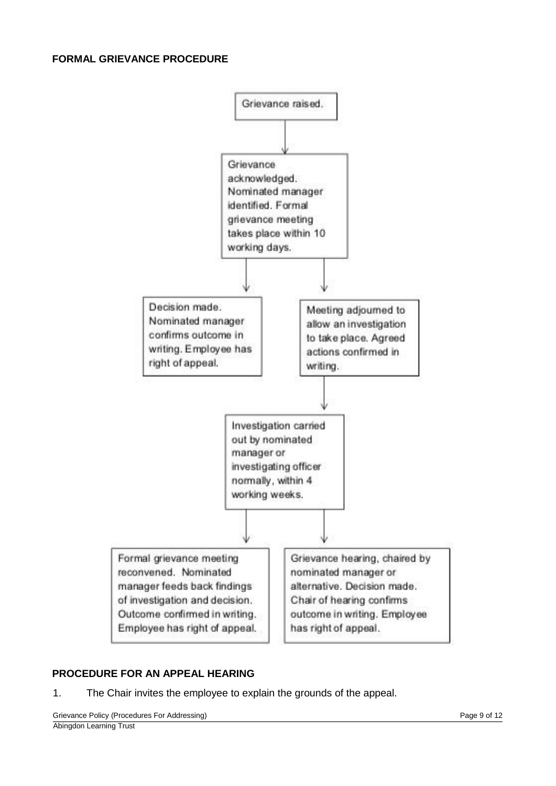<span id="page-8-0"></span>

## <span id="page-8-1"></span>**PROCEDURE FOR AN APPEAL HEARING**

1. The Chair invites the employee to explain the grounds of the appeal.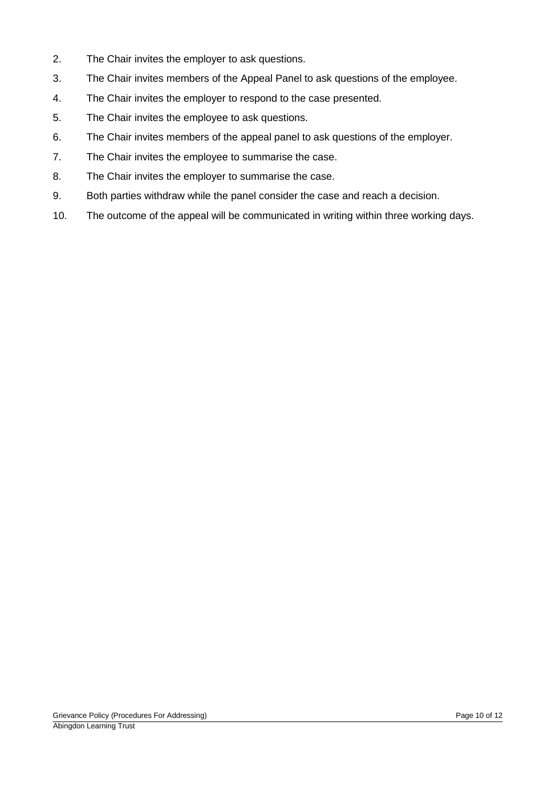- 2. The Chair invites the employer to ask questions.
- 3. The Chair invites members of the Appeal Panel to ask questions of the employee.
- 4. The Chair invites the employer to respond to the case presented.
- 5. The Chair invites the employee to ask questions.
- 6. The Chair invites members of the appeal panel to ask questions of the employer.
- 7. The Chair invites the employee to summarise the case.
- 8. The Chair invites the employer to summarise the case.
- 9. Both parties withdraw while the panel consider the case and reach a decision.
- 10. The outcome of the appeal will be communicated in writing within three working days.